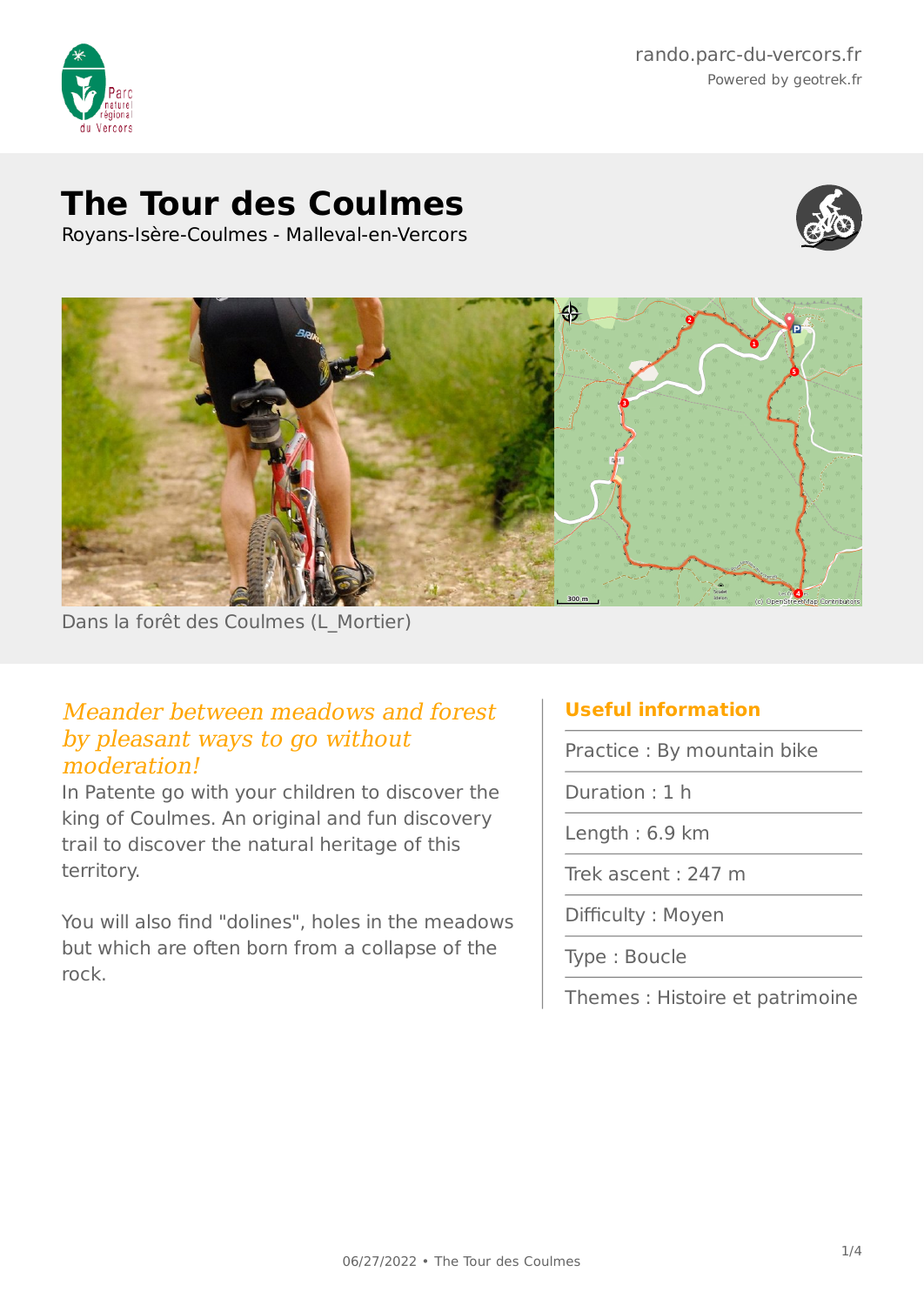

# **The Tour des Coulmes**

Royans-Isère-Coulmes - Malleval-en-Vercors





Dans la forêt des Coulmes (L\_Mortier)

### Meander between meadows and forest by pleasant ways to go without moderation!

In Patente go with your children to discover the king of Coulmes. An original and fun discovery trail to discover the natural heritage of this territory.

You will also find "dolines", holes in the meadows but which are often born from a collapse of the rock.

## **Useful information**

Practice : By mountain bike

Duration : 1 h

Length : 6.9 km

Trek ascent : 247 m

Difficulty : Moyen

Type : Boucle

Themes : Histoire et patrimoine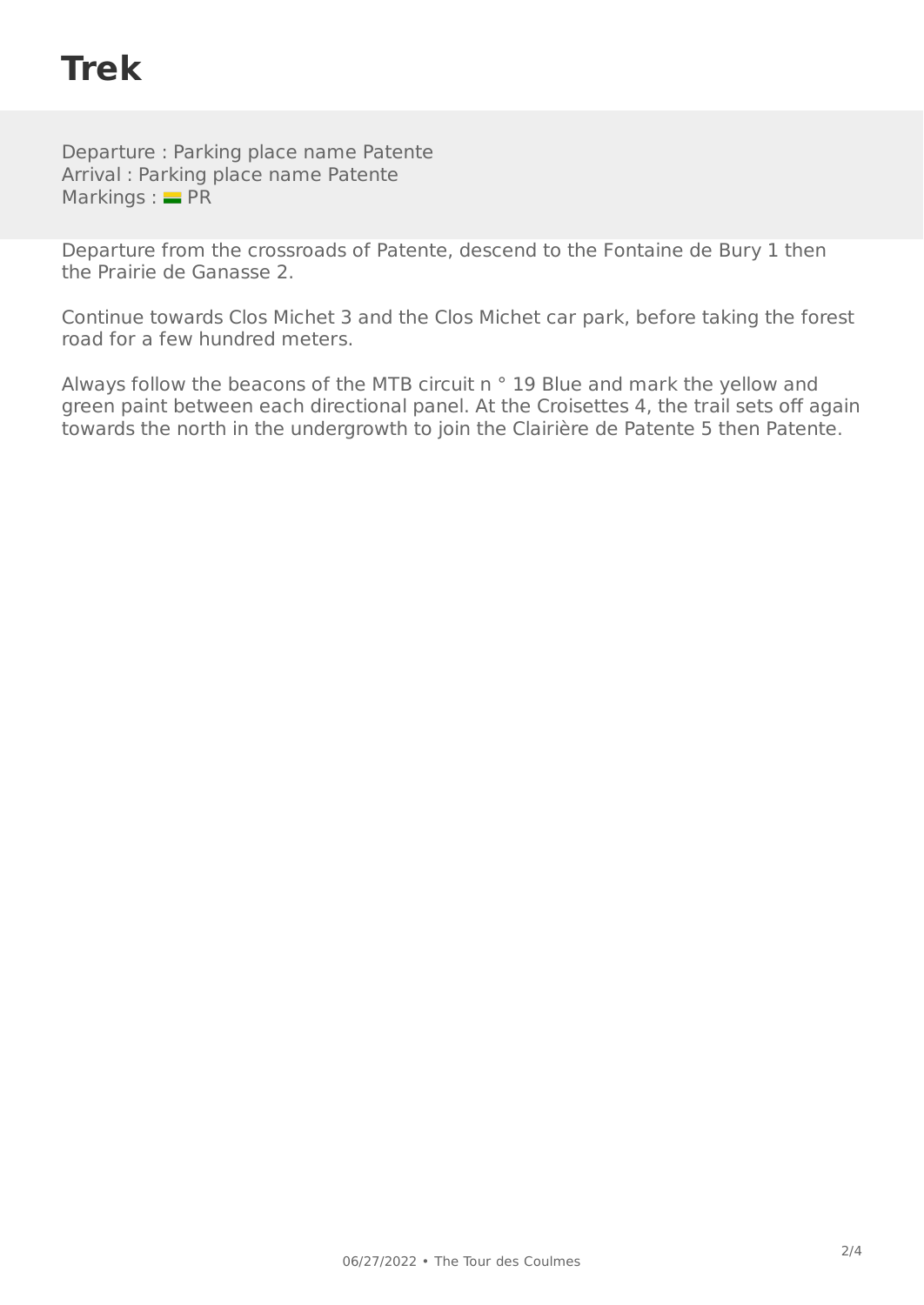# **Trek**

Departure : Parking place name Patente Arrival : Parking place name Patente Markings :  $=$  PR

Departure from the crossroads of Patente, descend to the Fontaine de Bury 1 then the Prairie de Ganasse 2.

Continue towards Clos Michet 3 and the Clos Michet car park, before taking the forest road for a few hundred meters.

Always follow the beacons of the MTB circuit n ° 19 Blue and mark the yellow and green paint between each directional panel. At the Croisettes 4, the trail sets off again towards the north in the undergrowth to join the Clairière de Patente 5 then Patente.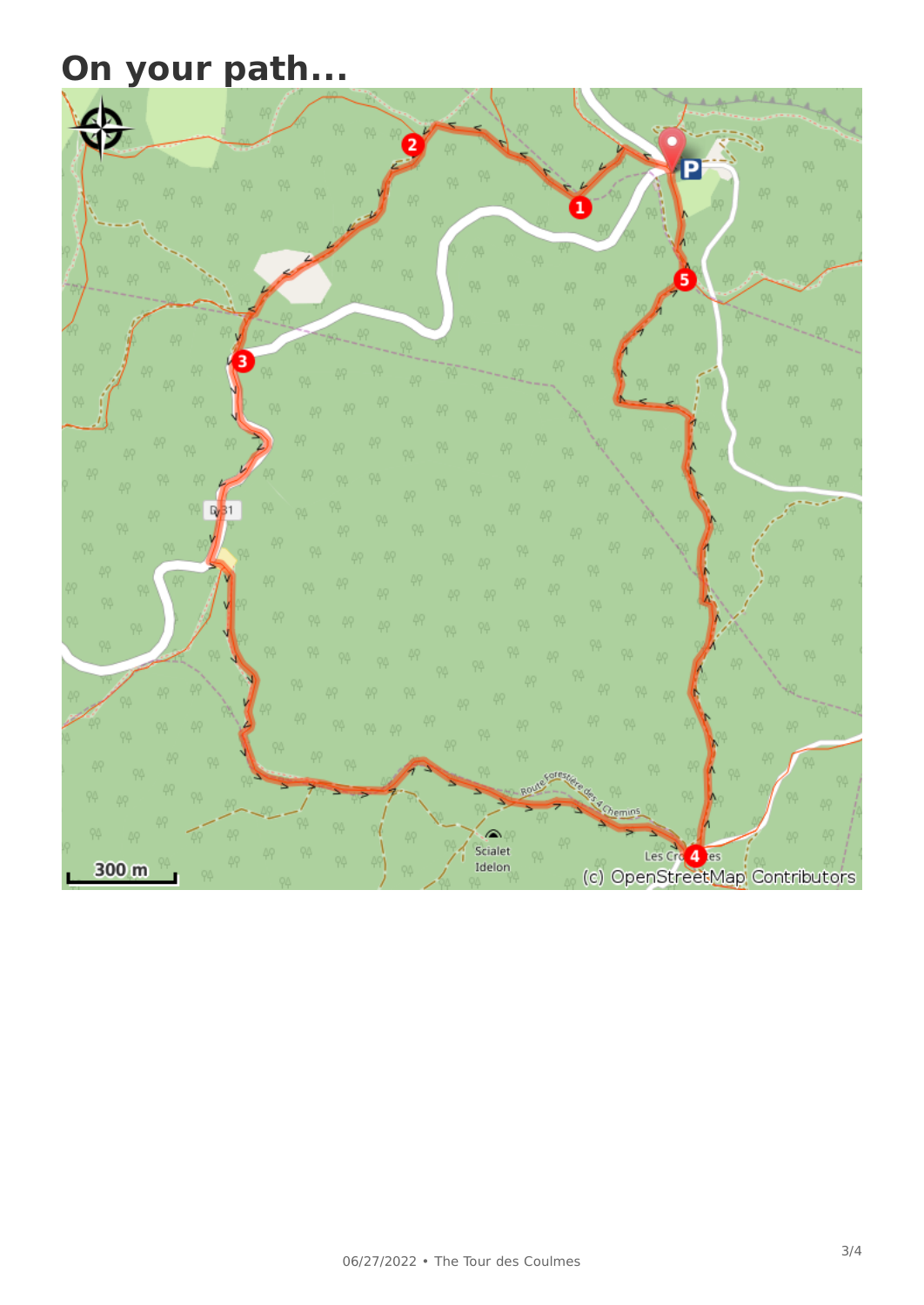# **On your path...**